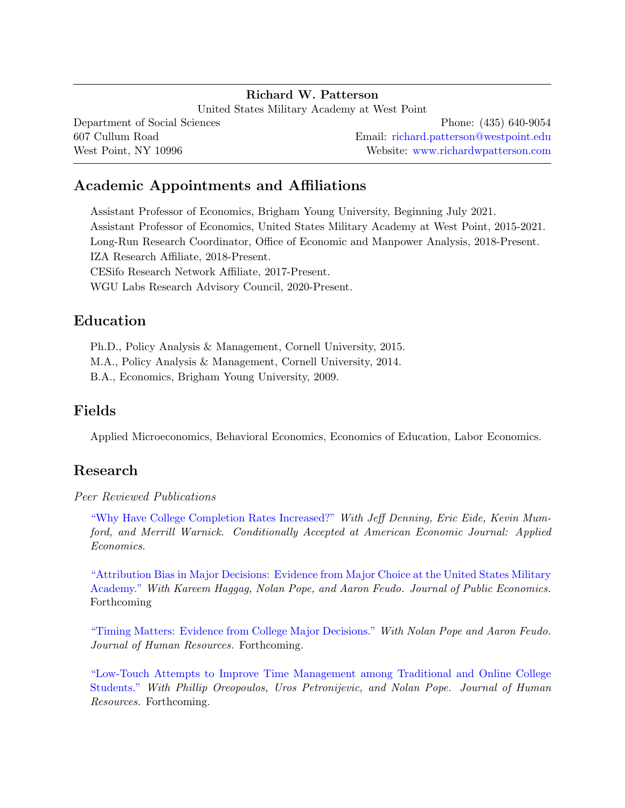### Richard W. Patterson

United States Military Academy at West Point Department of Social Sciences 607 Cullum Road West Point, NY 10996 Phone: (435) 640-9054 Email: [richard.patterson@westpoint.edu](mailto:richard.patterson@westpoint.edu) Website: [www.richardwpatterson.com](http://www.richardwpatterson.com)

# Academic Appointments and Affiliations

Assistant Professor of Economics, Brigham Young University, Beginning July 2021. Assistant Professor of Economics, United States Military Academy at West Point, 2015-2021. Long-Run Research Coordinator, Office of Economic and Manpower Analysis, 2018-Present. IZA Research Affiliate, 2018-Present. CESifo Research Network Affiliate, 2017-Present. WGU Labs Research Advisory Council, 2020-Present.

## Education

Ph.D., Policy Analysis & Management, Cornell University, 2015. M.A., Policy Analysis & Management, Cornell University, 2014. B.A., Economics, Brigham Young University, 2009.

## Fields

Applied Microeconomics, Behavioral Economics, Economics of Education, Labor Economics.

# Research

#### Peer Reviewed Publications

["Why Have College Completion Rates Increased?"](https://edworkingpapers.com/ai20-77) With Jeff Denning, Eric Eide, Kevin Mumford, and Merrill Warnick. Conditionally Accepted at American Economic Journal: Applied Economics.

["Attribution Bias in Major Decisions: Evidence from Major Choice at the United States Military](https://drive.google.com/file/d/1zqy-i3Rd2mOB7I2YGJgHRhC_Srms4fSh/view?usp=sharing) [Academy."](https://drive.google.com/file/d/1zqy-i3Rd2mOB7I2YGJgHRhC_Srms4fSh/view?usp=sharing) With Kareem Haggag, Nolan Pope, and Aaron Feudo. Journal of Public Economics. Forthcoming

["Timing Matters: Evidence from College Major Decisions."](https://drive.google.com/file/d/1y1wyBj6fdHBai-w0DkgieKW1aJxcNF16/view?usp=sharing) With Nolan Pope and Aaron Feudo. Journal of Human Resources. Forthcoming.

["Low-Touch Attempts to Improve Time Management among Traditional and Online College](https://drive.google.com/open?id=1x4XxY5lBRzAj9ohnnGazuwP4NHIWh8di) [Students."](https://drive.google.com/open?id=1x4XxY5lBRzAj9ohnnGazuwP4NHIWh8di) With Phillip Oreopoulos, Uros Petronijevic, and Nolan Pope. Journal of Human Resources. Forthcoming.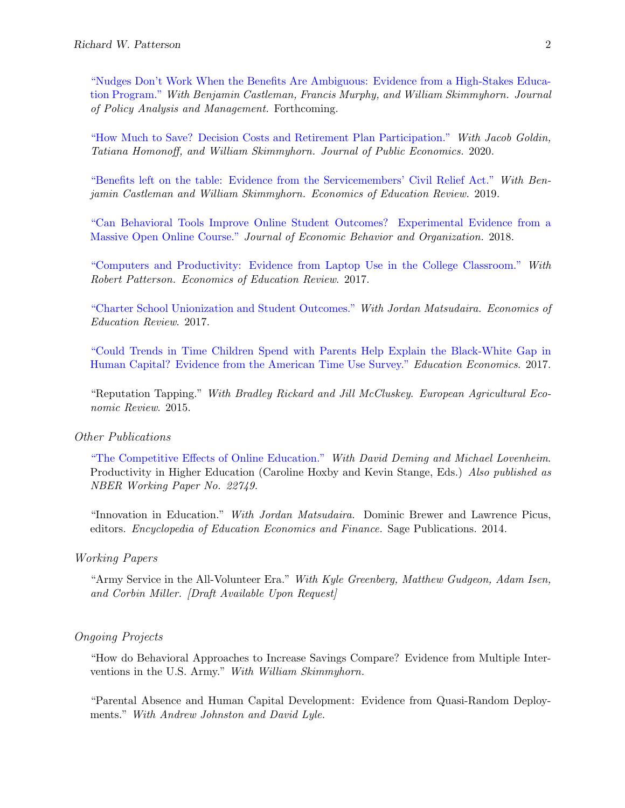["Nudges Don't Work When the Benefits Are Ambiguous: Evidence from a High-Stakes Educa](http://ftp.iza.org/dp12523.pdf)[tion Program."](http://ftp.iza.org/dp12523.pdf) With Benjamin Castleman, Francis Murphy, and William Skimmyhorn. Journal of Policy Analysis and Management. Forthcoming.

["How Much to Save? Decision Costs and Retirement Plan Participation."](https://drive.google.com/file/d/1MjWfMHZQtIn9wTE3n9C3salk0PZo-gut/view) With Jacob Goldin, Tatiana Homonoff, and William Skimmyhorn. Journal of Public Economics. 2020.

["Benefits left on the table: Evidence from the Servicemembers' Civil Relief Act."](https://drive.google.com/open?id=1r5QCxRZWGGgVVFbhPzsok6DhpeghckQE) With Benjamin Castleman and William Skimmyhorn. Economics of Education Review. 2019.

["Can Behavioral Tools Improve Online Student Outcomes? Experimental Evidence from a](https://docs.google.com/viewer?a=v&pid=sites&srcid=ZGVmYXVsdGRvbWFpbnxyaWNocGF0dGVyc29uY29ybmVsbHxneDo0ZmNiYTk5MTdmZWVkNWQ5) [Massive Open Online Course."](https://docs.google.com/viewer?a=v&pid=sites&srcid=ZGVmYXVsdGRvbWFpbnxyaWNocGF0dGVyc29uY29ybmVsbHxneDo0ZmNiYTk5MTdmZWVkNWQ5) Journal of Economic Behavior and Organization. 2018.

["Computers and Productivity: Evidence from Laptop Use in the College Classroom."](https://docs.google.com/viewer?a=v&pid=sites&srcid=ZGVmYXVsdGRvbWFpbnxyaWNocGF0dGVyc29uY29ybmVsbHxneDoxOTBlNWI1MTU0YTRhODcy) With Robert Patterson. Economics of Education Review. 2017.

["Charter School Unionization and Student Outcomes."](https://www.sciencedirect.com/science/article/pii/S0272775717303084) With Jordan Matsudaira. Economics of Education Review. 2017.

["Could Trends in Time Children Spend with Parents Help Explain the Black-White Gap in](https://docs.google.com/viewer?a=v&pid=sites&srcid=ZGVmYXVsdGRvbWFpbnxyaWNocGF0dGVyc29uY29ybmVsbHxneDo3MzM0NTY4NTQ3Y2MwYTFi) [Human Capital? Evidence from the American Time Use Survey."](https://docs.google.com/viewer?a=v&pid=sites&srcid=ZGVmYXVsdGRvbWFpbnxyaWNocGF0dGVyc29uY29ybmVsbHxneDo3MzM0NTY4NTQ3Y2MwYTFi) Education Economics. 2017.

"Reputation Tapping." With Bradley Rickard and Jill McCluskey. European Agricultural Economic Review. 2015.

#### Other Publications

["The Competitive Effects of Online Education."](http://www.nber.org/papers/w22749?utm_campaign=ntw&utm_medium=email&utm_source=ntw) With David Deming and Michael Lovenheim. Productivity in Higher Education (Caroline Hoxby and Kevin Stange, Eds.) Also published as NBER Working Paper No. 22749.

"Innovation in Education." With Jordan Matsudaira. Dominic Brewer and Lawrence Picus, editors. Encyclopedia of Education Economics and Finance. Sage Publications. 2014.

#### Working Papers

"Army Service in the All-Volunteer Era." With Kyle Greenberg, Matthew Gudgeon, Adam Isen, and Corbin Miller. [Draft Available Upon Request]

#### Ongoing Projects

"How do Behavioral Approaches to Increase Savings Compare? Evidence from Multiple Interventions in the U.S. Army." With William Skimmyhorn.

"Parental Absence and Human Capital Development: Evidence from Quasi-Random Deployments." With Andrew Johnston and David Lyle.